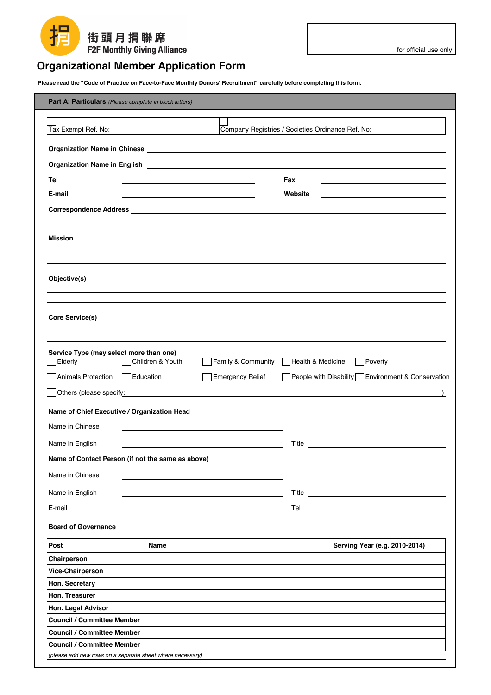## 扌 街頭月捐聯席 **F2F Monthly Giving Alliance**

## **Organizational Member Application Form**

Please read the "Code of Practice on Face-to-Face Monthly Donors' Recruitment" carefully before completing this form.

| Part A: Particulars (Please complete in block letters)                                         |                                                   |                   |                                                                                                                                                                                                                                      |  |
|------------------------------------------------------------------------------------------------|---------------------------------------------------|-------------------|--------------------------------------------------------------------------------------------------------------------------------------------------------------------------------------------------------------------------------------|--|
|                                                                                                |                                                   |                   |                                                                                                                                                                                                                                      |  |
| Tax Exempt Ref. No:                                                                            | Company Registries / Societies Ordinance Ref. No: |                   |                                                                                                                                                                                                                                      |  |
|                                                                                                |                                                   |                   |                                                                                                                                                                                                                                      |  |
| <b>Organization Name in English</b>                                                            |                                                   |                   |                                                                                                                                                                                                                                      |  |
| Tel                                                                                            |                                                   | Fax               |                                                                                                                                                                                                                                      |  |
| E-mail                                                                                         |                                                   | Website           |                                                                                                                                                                                                                                      |  |
|                                                                                                |                                                   |                   |                                                                                                                                                                                                                                      |  |
|                                                                                                |                                                   |                   |                                                                                                                                                                                                                                      |  |
| <b>Mission</b>                                                                                 |                                                   |                   |                                                                                                                                                                                                                                      |  |
|                                                                                                |                                                   |                   |                                                                                                                                                                                                                                      |  |
|                                                                                                |                                                   |                   |                                                                                                                                                                                                                                      |  |
| Objective(s)                                                                                   |                                                   |                   |                                                                                                                                                                                                                                      |  |
|                                                                                                |                                                   |                   |                                                                                                                                                                                                                                      |  |
|                                                                                                |                                                   |                   |                                                                                                                                                                                                                                      |  |
| Core Service(s)                                                                                |                                                   |                   |                                                                                                                                                                                                                                      |  |
|                                                                                                |                                                   |                   |                                                                                                                                                                                                                                      |  |
| Service Type (may select more than one)<br>Elderly                                             | Children & Youth<br>Family & Community            | Health & Medicine | Poverty                                                                                                                                                                                                                              |  |
|                                                                                                |                                                   |                   |                                                                                                                                                                                                                                      |  |
| Animals Protection Education                                                                   | <b>Emergency Relief</b>                           |                   | People with Disability Environment & Conservation                                                                                                                                                                                    |  |
| Others (please specify:                                                                        |                                                   |                   |                                                                                                                                                                                                                                      |  |
| Name of Chief Executive / Organization Head                                                    |                                                   |                   |                                                                                                                                                                                                                                      |  |
| Name in Chinese                                                                                |                                                   |                   |                                                                                                                                                                                                                                      |  |
| Name in English                                                                                |                                                   | Title             |                                                                                                                                                                                                                                      |  |
| Name of Contact Person (if not the same as above)                                              |                                                   |                   |                                                                                                                                                                                                                                      |  |
|                                                                                                |                                                   |                   |                                                                                                                                                                                                                                      |  |
| Name in Chinese                                                                                |                                                   |                   |                                                                                                                                                                                                                                      |  |
| Name in English                                                                                |                                                   |                   |                                                                                                                                                                                                                                      |  |
| E-mail                                                                                         |                                                   |                   | <b>Telestic and the contract of the contract of the contract of the contract of the contract of the contract of the contract of the contract of the contract of the contract of the contract of the contract of the contract of </b> |  |
| <b>Board of Governance</b>                                                                     |                                                   |                   |                                                                                                                                                                                                                                      |  |
| Post                                                                                           | <b>Name</b>                                       |                   | Serving Year (e.g. 2010-2014)                                                                                                                                                                                                        |  |
| Chairperson                                                                                    |                                                   |                   |                                                                                                                                                                                                                                      |  |
| Vice-Chairperson                                                                               |                                                   |                   |                                                                                                                                                                                                                                      |  |
| Hon. Secretary                                                                                 |                                                   |                   |                                                                                                                                                                                                                                      |  |
| Hon. Treasurer                                                                                 |                                                   |                   |                                                                                                                                                                                                                                      |  |
| Hon. Legal Advisor                                                                             |                                                   |                   |                                                                                                                                                                                                                                      |  |
| <b>Council / Committee Member</b>                                                              |                                                   |                   |                                                                                                                                                                                                                                      |  |
| <b>Council / Committee Member</b>                                                              |                                                   |                   |                                                                                                                                                                                                                                      |  |
| <b>Council / Committee Member</b><br>(please add new rows on a separate sheet where necessary) |                                                   |                   |                                                                                                                                                                                                                                      |  |